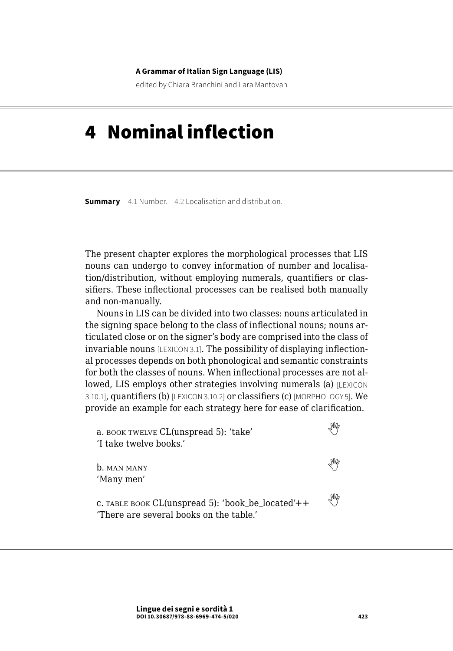#### **A Grammar of Italian Sign Language (LIS)**

edited by Chiara Branchini and Lara Mantovan

# 4 Nominal inflection

**Summary** [4.1 Number](#page-1-0). – [4.2 Localisation and distribution](#page-5-0).

The present chapter explores the morphological processes that LIS nouns can undergo to convey information of number and localisation/distribution, without employing numerals, quantifiers or classifiers. These inflectional processes can be realised both manually and non-manually.

Nouns in LIS can be divided into two classes: nouns articulated in the signing space belong to the class of inflectional nouns; nouns articulated close or on the signer's body are comprised into the class of invariable nouns [LEXICON 3.1]. The possibility of displaying inflectional processes depends on both phonological and semantic constraints for both the classes of nouns. When inflectional processes are not allowed, LIS employs other strategies involving numerals (a) [LEXICON 3.10.1], quantifiers (b) [LEXICON 3.10.2] or classifiers (c) [MORPHOLOGY 5]. We provide an example for each strategy here for ease of clarification.

| a. BOOK TWELVE CL(unspread 5): 'take'<br>'I take twelve books.'                                 |   |
|-------------------------------------------------------------------------------------------------|---|
| <b>b.</b> MAN MANY<br>'Many men'                                                                |   |
| c. TABLE BOOK CL(unspread 5): 'book be located' $++$<br>'There are several books on the table.' | ₩ |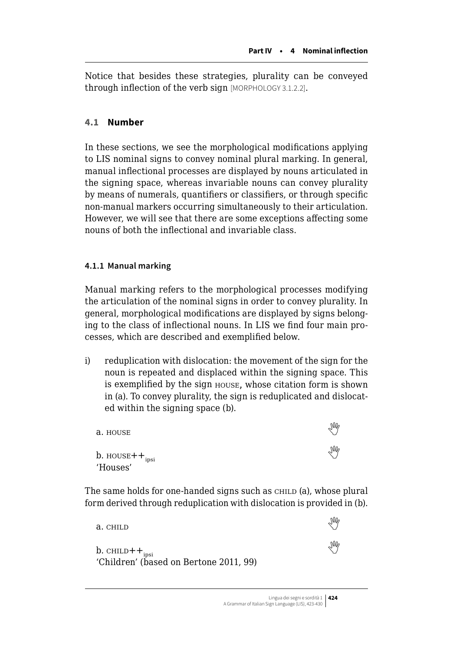<span id="page-1-0"></span>Notice that besides these strategies, plurality can be conveyed through inflection of the verb sign [MORPHOLOGY 3.1.2.2].

# **4.1 Number**

In these sections, we see the morphological modifications applying to LIS nominal signs to convey nominal plural marking. In general, manual inflectional processes are displayed by nouns articulated in the signing space, whereas invariable nouns can convey plurality by means of numerals, quantifiers or classifiers, or through specific non-manual markers occurring simultaneously to their articulation. However, we will see that there are some exceptions affecting some nouns of both the inflectional and invariable class.

### **4.1.1 Manual marking**

Manual marking refers to the morphological processes modifying the articulation of the nominal signs in order to convey plurality. In general, morphological modifications are displayed by signs belonging to the class of inflectional nouns. In LIS we find four main processes, which are described and exemplified below.

i) reduplication with dislocation: the movement of the sign for the noun is repeated and displaced within the signing space. This is exemplified by the sign house, whose citation form is shown in (a). To convey plurality, the sign is reduplicated and dislocated within the signing space (b).

| a. HOUSE                                      | M          |
|-----------------------------------------------|------------|
| b. $\text{HOUSE}++_{\text{ipsi}}$<br>'Houses' | $\sqrt{M}$ |

The same holds for one-handed signs such as CHILD (a), whose plural form derived through reduplication with dislocation is provided in (b).

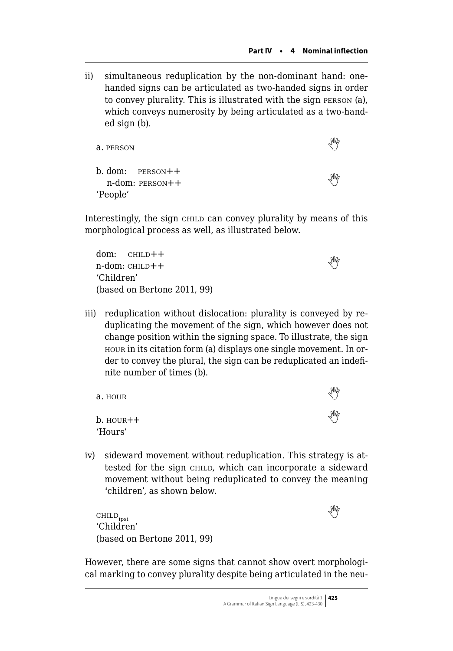ii) simultaneous reduplication by the non-dominant hand: onehanded signs can be articulated as two-handed signs in order to convey plurality. This is illustrated with the sign person (a), which conveys numerosity by being articulated as a two-handed sign (b).

| a. PERSON                                      | M  |
|------------------------------------------------|----|
| $b. dom:$ PERSON $++$<br>$n$ -dom: PERSON $++$ | JM |
| 'People'                                       |    |

Interestingly, the sign child can convey plurality by means of this morphological process as well, as illustrated below.

| $dom:$ $CHILD++$            |   |
|-----------------------------|---|
| n-dom: cнњp++               | ₩ |
| 'Children'                  |   |
| (based on Bertone 2011, 99) |   |

iii) reduplication without dislocation: plurality is conveyed by reduplicating the movement of the sign, which however does not change position within the signing space. To illustrate, the sign hour in its citation form (a) displays one single movement. In order to convey the plural, the sign can be reduplicated an indefinite number of times (b).

| a. HOUR        | $\mathbb{W}_{\rho}$    |
|----------------|------------------------|
| $b.$ HOUR $++$ | $\mathbb{W}_{\varphi}$ |
| 'Hours'        |                        |

iv) sideward movement without reduplication. This strategy is attested for the sign CHILD, which can incorporate a sideward movement without being reduplicated to convey the meaning 'children', as shown below.

 $\text{CHILD}_{\text{ipsi}}$ 'Children' (based on Bertone 2011, 99)



However, there are some signs that cannot show overt morphological marking to convey plurality despite being articulated in the neu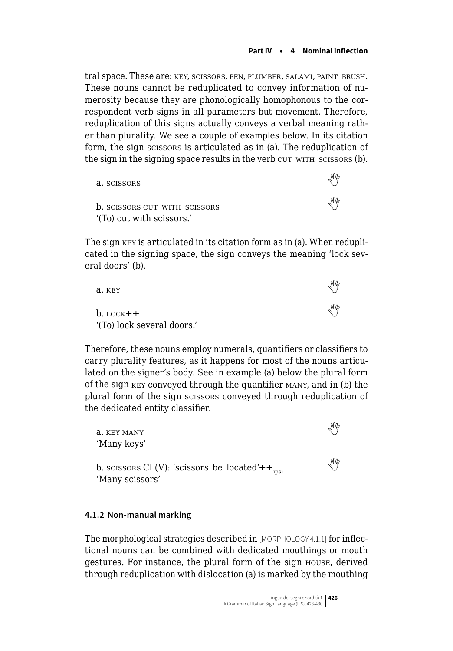tral space. These are: key, scissors, pen, plumber, salami, paint\_brush. These nouns cannot be reduplicated to convey information of numerosity because they are phonologically homophonous to the correspondent verb signs in all parameters but movement. Therefore, reduplication of this signs actually conveys a verbal meaning rather than plurality. We see a couple of examples below. In its citation form, the sign scissors is articulated as in (a). The reduplication of the sign in the signing space results in the verb cut with scissors (b).

| a. scissors                                                     |   |
|-----------------------------------------------------------------|---|
| <b>b.</b> SCISSORS CUT WITH SCISSORS<br>(To) cut with scissors. | M |

The sign key is articulated in its citation form as in (a). When reduplicated in the signing space, the sign conveys the meaning 'lock several doors' (b).

| a. KEY                     | M |
|----------------------------|---|
| $b.$ LOCK $++$             | M |
| '(To) lock several doors.' |   |

Therefore, these nouns employ numerals, quantifiers or classifiers to carry plurality features, as it happens for most of the nouns articulated on the signer's body. See in example (a) below the plural form of the sign key conveyed through the quantifier many, and in (b) the plural form of the sign scissors conveyed through reduplication of the dedicated entity classifier.

| a. KEY MANY<br>'Many keys'                                                       | M   |
|----------------------------------------------------------------------------------|-----|
| b. scissors $CL(V)$ : 'scissors_be_located'++ <sub>insi</sub><br>'Many scissors' | Ins |

#### **4.1.2 Non-manual marking**

The morphological strategies described in [MORPHOLOGY 4.1.1] for inflectional nouns can be combined with dedicated mouthings or mouth gestures. For instance, the plural form of the sign house, derived through reduplication with dislocation (a) is marked by the mouthing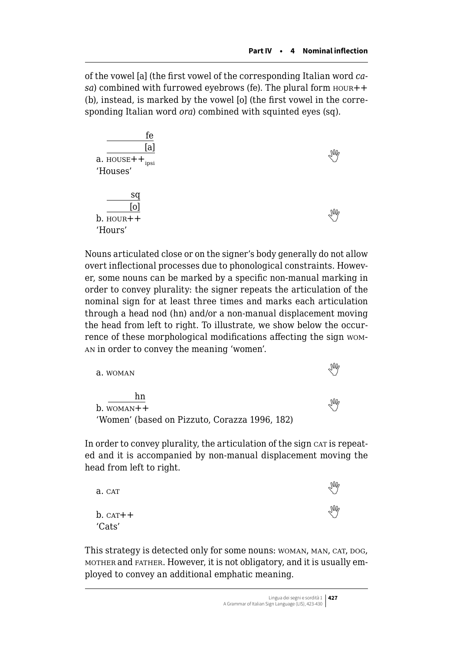of the vowel [a] (the first vowel of the corresponding Italian word *casa*) combined with furrowed eyebrows (fe). The plural form  $H$  HOUR++ (b), instead, is marked by the vowel [o] (the first vowel in the corresponding Italian word *ora*) combined with squinted eyes (sq).



Nouns articulated close or on the signer's body generally do not allow overt inflectional processes due to phonological constraints. However, some nouns can be marked by a specific non-manual marking in order to convey plurality: the signer repeats the articulation of the nominal sign for at least three times and marks each articulation through a head nod (hn) and/or a non-manual displacement moving the head from left to right. To illustrate, we show below the occurrence of these morphological modifications affecting the sign woman in order to convey the meaning 'women'.

| a. WOMAN                                      | M |
|-----------------------------------------------|---|
| hn                                            | M |
| $b.$ WOMAN $++$                               |   |
| 'Women' (based on Pizzuto, Corazza 1996, 182) |   |

In order to convey plurality, the articulation of the sign car is repeated and it is accompanied by non-manual displacement moving the head from left to right.

| a. CAT        | M |
|---------------|---|
| $b.$ CAT $++$ | N |
| 'Cats'        |   |

This strategy is detected only for some nouns: WOMAN, MAN, CAT, DOG, mother and father. However, it is not obligatory, and it is usually employed to convey an additional emphatic meaning.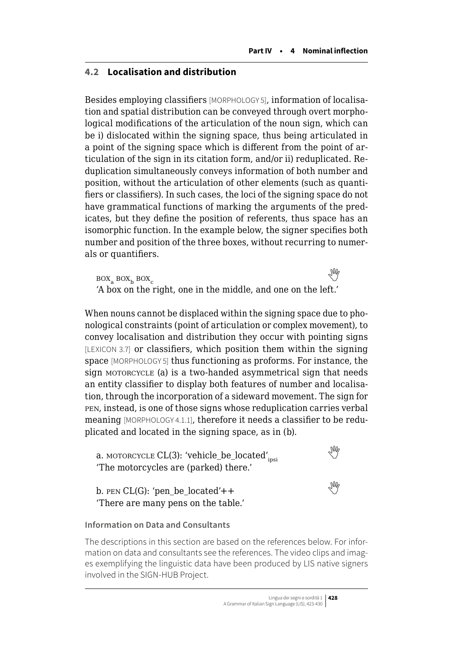# <span id="page-5-0"></span>**4.2 Localisation and distribution**

Besides employing classifiers [MORPHOLOGY 5], information of localisation and spatial distribution can be conveyed through overt morphological modifications of the articulation of the noun sign, which can be i) dislocated within the signing space, thus being articulated in a point of the signing space which is different from the point of articulation of the sign in its citation form, and/or ii) reduplicated. Reduplication simultaneously conveys information of both number and position, without the articulation of other elements (such as quantifiers or classifiers). In such cases, the loci of the signing space do not have grammatical functions of marking the arguments of the predicates, but they define the position of referents, thus space has an isomorphic function. In the example below, the signer specifies both number and position of the three boxes, without recurring to numerals or quantifiers.

 $\text{Box}_a \text{ Box}_b \text{ Box}_c$ **COMPARENTCOMPANY** 'A box on the right, one in the middle, and one on the left.'

When nouns cannot be displaced within the signing space due to phonological constraints (point of articulation or complex movement), to convey localisation and distribution they occur with pointing signs [LEXICON 3.7] or classifiers, which position them within the signing space [MORPHOLOGY 5] thus functioning as proforms. For instance, the sign MOTORCYCLE (a) is a two-handed asymmetrical sign that needs an entity classifier to display both features of number and localisation, through the incorporation of a sideward movement. The sign for pen, instead, is one of those signs whose reduplication carries verbal meaning [MORPHOLOGY 4.1.1], therefore it needs a classifier to be reduplicated and located in the signing space, as in (b).

a.MOTORCYCLE  $CL(3)$ : 'vehicle\_be\_located'<sub>insi</sub> 'The motorcycles are (parked) there.'

b.PEN CL(G): 'pen\_be\_located'++ 'There are many pens on the table.'

#### **Information on Data and Consultants**

The descriptions in this section are based on the references below. For information on data and consultants see the references. The video clips and images exemplifying the linguistic data have been produced by LIS native signers involved in the SIGN-HUB Project.